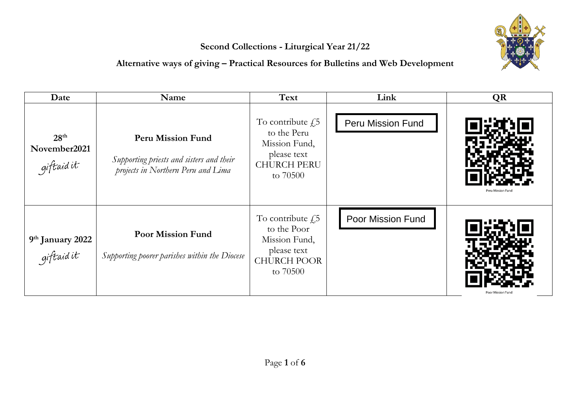## **Second Collections - Liturgical Year 21/22**

## **Alternative ways of giving – Practical Resources for Bulletins and Web Development**



| Date                                           | Name                                                                                                       | Text                                                                                                      | Link                     | <b>QR</b>         |
|------------------------------------------------|------------------------------------------------------------------------------------------------------------|-----------------------------------------------------------------------------------------------------------|--------------------------|-------------------|
| 28 <sup>th</sup><br>November2021<br>giftaid it | <b>Peru Mission Fund</b><br>Supporting priests and sisters and their<br>projects in Northern Peru and Lima | To contribute $\sqrt{5}$<br>to the Peru<br>Mission Fund,<br>please text<br><b>CHURCH PERU</b><br>to 70500 | <b>Peru Mission Fund</b> | Peru Mission Fund |
| 9 <sup>th</sup> January 2022<br>giftaid it     | <b>Poor Mission Fund</b><br>Supporting poorer parishes within the Diocese                                  | To contribute $f_{15}$<br>to the Poor<br>Mission Fund,<br>please text<br><b>CHURCH POOR</b><br>to 70500   | <b>Poor Mission Fund</b> |                   |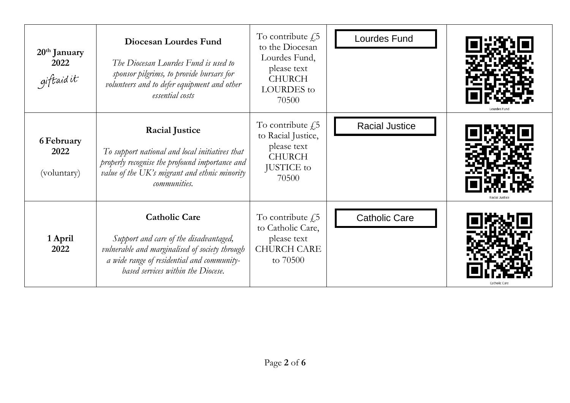| $20th$ January<br>2022<br>giftaidit | Diocesan Lourdes Fund<br>The Diocesan Lourdes Fund is used to<br>sponsor pilgrims, to provide bursars for<br>volunteers and to defer equipment and other<br>essential costs                          | To contribute $f$ ,5<br>to the Diocesan<br>Lourdes Fund,<br>please text<br><b>CHURCH</b><br><b>LOURDES</b> to<br>70500 | <b>Lourdes Fund</b>   |  |
|-------------------------------------|------------------------------------------------------------------------------------------------------------------------------------------------------------------------------------------------------|------------------------------------------------------------------------------------------------------------------------|-----------------------|--|
| 6 February<br>2022<br>(voluntary)   | <b>Racial Justice</b><br>To support national and local initiatives that<br>properly recognise the profound importance and<br>value of the UK's migrant and ethnic minority<br>communities.           | To contribute $\text{\emph{f}}5$<br>to Racial Justice,<br>please text<br><b>CHURCH</b><br><b>JUSTICE</b> to<br>70500   | <b>Racial Justice</b> |  |
| 1 April<br>2022                     | <b>Catholic Care</b><br>Support and care of the disadvantaged,<br>vulnerable and marginalised of society through<br>a wide range of residential and community-<br>based services within the Diocese. | To contribute $f$ ,5<br>to Catholic Care,<br>please text<br><b>CHURCH CARE</b><br>to 70500                             | <b>Catholic Care</b>  |  |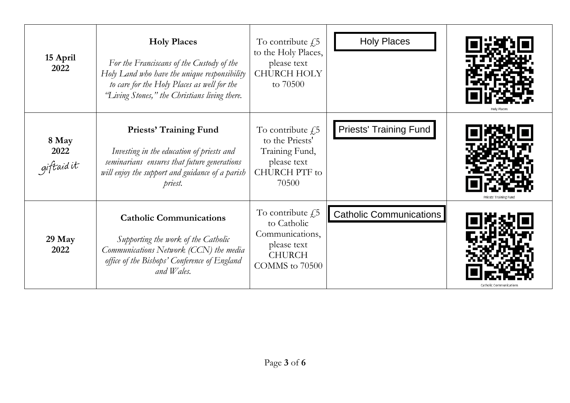| 15 April<br>2022            | <b>Holy Places</b><br>For the Franciscans of the Custody of the<br>Holy Land who have the unique responsibility<br>to care for the Holy Places as well for the<br>"Living Stones," the Christians living there. | To contribute $f$ ,5<br>to the Holy Places,<br>please text<br><b>CHURCH HOLY</b><br>to 70500              | <b>Holy Places</b>             |  |
|-----------------------------|-----------------------------------------------------------------------------------------------------------------------------------------------------------------------------------------------------------------|-----------------------------------------------------------------------------------------------------------|--------------------------------|--|
| 8 May<br>2022<br>giftaid it | <b>Priests' Training Fund</b><br>Investing in the education of priests and<br>seminarians ensures that future generations<br>will enjoy the support and guidance of a parish<br>priest.                         | To contribute $f$ ,5<br>to the Priests'<br>Training Fund,<br>please text<br><b>CHURCH PTF</b> to<br>70500 | <b>Priests' Training Fund</b>  |  |
| 29 May<br>2022              | <b>Catholic Communications</b><br>Supporting the work of the Catholic<br>Communications Network (CCN) the media<br>office of the Bishops' Conference of England<br>and Wales.                                   | To contribute $f$ ,5<br>to Catholic<br>Communications,<br>please text<br><b>CHURCH</b><br>COMMS to 70500  | <b>Catholic Communications</b> |  |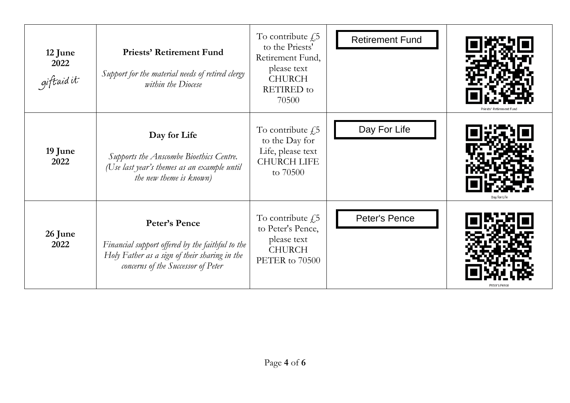| 12 June<br>2022<br>giftaidit | <b>Priests' Retirement Fund</b><br>Support for the material needs of retired clergy<br>within the Diocese                                                | To contribute $f$ ,5<br>to the Priests'<br>Retirement Fund,<br>please text<br><b>CHURCH</b><br><b>RETIRED</b> to<br>70500 | <b>Retirement Fund</b> |              |
|------------------------------|----------------------------------------------------------------------------------------------------------------------------------------------------------|---------------------------------------------------------------------------------------------------------------------------|------------------------|--------------|
| 19 June<br>2022              | Day for Life<br>Supports the Anscombe Bioethics Centre.<br>(Use last year's themes as an example until<br>the new theme is known)                        | To contribute $f$ ,5<br>to the Day for<br>Life, please text<br><b>CHURCH LIFE</b><br>to 70500                             | Day For Life           | Day for Life |
| 26 June<br>2022              | Peter's Pence<br>Financial support offered by the faithful to the<br>Holy Father as a sign of their sharing in the<br>concerns of the Successor of Peter | To contribute $f$ ,5<br>to Peter's Pence,<br>please text<br><b>CHURCH</b><br>PETER to 70500                               | Peter's Pence          |              |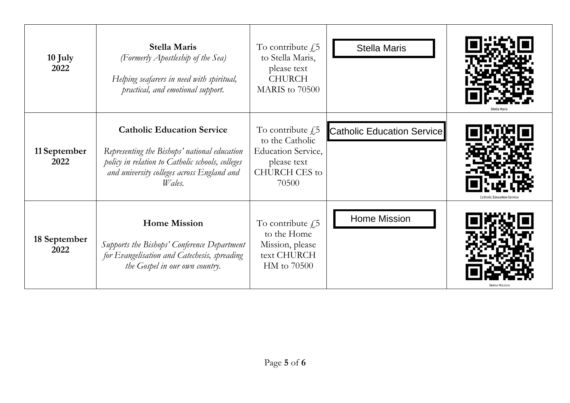| 10 July<br>2022      | <b>Stella Maris</b><br>(Formerly Apostleship of the Sea)<br>Helping seafarers in need with spiritual,<br>practical, and emotional support.                                                    | To contribute $f$ ,5<br>to Stella Maris,<br>please text<br><b>CHURCH</b><br>MARIS to 70500                    | <b>Stella Maris</b>               |  |
|----------------------|-----------------------------------------------------------------------------------------------------------------------------------------------------------------------------------------------|---------------------------------------------------------------------------------------------------------------|-----------------------------------|--|
| 11 September<br>2022 | <b>Catholic Education Service</b><br>Representing the Bishops' national education<br>policy in relation to Catholic schools, colleges<br>and university colleges across England and<br>Wales. | To contribute $f$ ,5<br>to the Catholic<br><b>Education Service,</b><br>please text<br>CHURCH CES to<br>70500 | <b>Catholic Education Service</b> |  |
| 18 September<br>2022 | <b>Home Mission</b><br>Supports the Bishops' Conference Department<br>for Evangelisation and Catechesis, spreading<br>the Gospel in our own country.                                          | To contribute $f$ ,5<br>to the Home<br>Mission, please<br>text CHURCH<br>HM to 70500                          | <b>Home Mission</b>               |  |